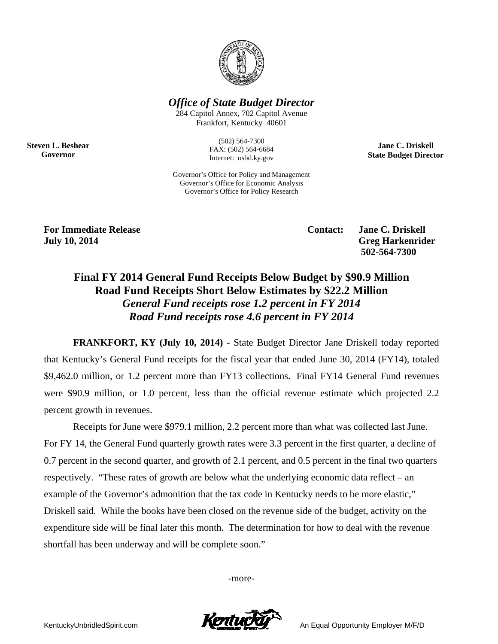

*Office of State Budget Director* 

284 Capitol Annex, 702 Capitol Avenue Frankfort, Kentucky 40601

> (502) 564-7300 FAX: (502) 564-6684 Internet: osbd.ky.gov

Governor's Office for Policy and Management Governor's Office for Economic Analysis

**Jane C. Driskell State Budget Director** 

Governor's Office for Policy Research

**For Immediate Release**  The Contact: Jane C. Driskell **Contact:** Jane C. Driskell **July 10, 2014** Greg Harkenrider

**Steven L. Beshear Governor** 

 **502-564-7300** 

# **Final FY 2014 General Fund Receipts Below Budget by \$90.9 Million Road Fund Receipts Short Below Estimates by \$22.2 Million**  *General Fund receipts rose 1.2 percent in FY 2014 Road Fund receipts rose 4.6 percent in FY 2014*

**FRANKFORT, KY (July 10, 2014)** - State Budget Director Jane Driskell today reported that Kentucky's General Fund receipts for the fiscal year that ended June 30, 2014 (FY14), totaled \$9,462.0 million, or 1.2 percent more than FY13 collections. Final FY14 General Fund revenues were \$90.9 million, or 1.0 percent, less than the official revenue estimate which projected 2.2 percent growth in revenues.

 Receipts for June were \$979.1 million, 2.2 percent more than what was collected last June. For FY 14, the General Fund quarterly growth rates were 3.3 percent in the first quarter, a decline of 0.7 percent in the second quarter, and growth of 2.1 percent, and 0.5 percent in the final two quarters respectively. "These rates of growth are below what the underlying economic data reflect – an example of the Governor's admonition that the tax code in Kentucky needs to be more elastic," Driskell said.While the books have been closed on the revenue side of the budget, activity on the expenditure side will be final later this month. The determination for how to deal with the revenue shortfall has been underway and will be complete soon."

-more-

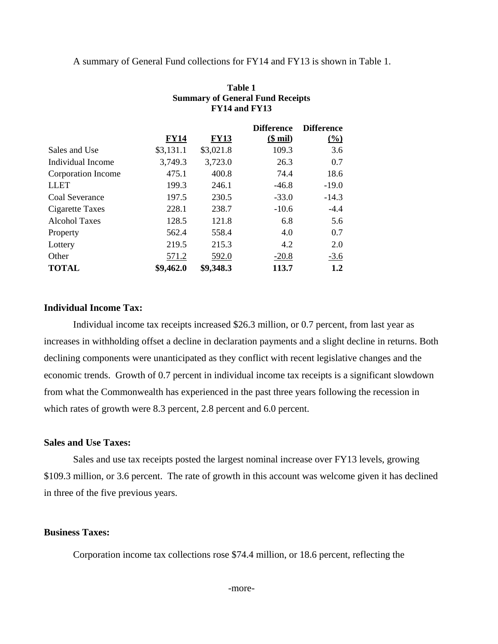#### A summary of General Fund collections for FY14 and FY13 is shown in Table 1.

|                      |             |             | <b>Difference</b> | <b>Difference</b> |
|----------------------|-------------|-------------|-------------------|-------------------|
|                      | <b>FY14</b> | <b>FY13</b> | $($$ mil)         | $\frac{0}{0}$     |
| Sales and Use        | \$3,131.1   | \$3,021.8   | 109.3             | 3.6               |
| Individual Income    | 3,749.3     | 3,723.0     | 26.3              | 0.7               |
| Corporation Income   | 475.1       | 400.8       | 74.4              | 18.6              |
| <b>LLET</b>          | 199.3       | 246.1       | $-46.8$           | $-19.0$           |
| Coal Severance       | 197.5       | 230.5       | $-33.0$           | $-14.3$           |
| Cigarette Taxes      | 228.1       | 238.7       | $-10.6$           | $-4.4$            |
| <b>Alcohol Taxes</b> | 128.5       | 121.8       | 6.8               | 5.6               |
| Property             | 562.4       | 558.4       | 4.0               | 0.7               |
| Lottery              | 219.5       | 215.3       | 4.2               | 2.0               |
| Other                | 571.2       | 592.0       | $-20.8$           | $-3.6$            |
| <b>TOTAL</b>         | \$9,462.0   | \$9,348.3   | 113.7             | $1.2\,$           |

#### **Table 1 Summary of General Fund Receipts FY14 and FY13**

#### **Individual Income Tax:**

Individual income tax receipts increased \$26.3 million, or 0.7 percent, from last year as increases in withholding offset a decline in declaration payments and a slight decline in returns. Both declining components were unanticipated as they conflict with recent legislative changes and the economic trends. Growth of 0.7 percent in individual income tax receipts is a significant slowdown from what the Commonwealth has experienced in the past three years following the recession in which rates of growth were 8.3 percent, 2.8 percent and 6.0 percent.

### **Sales and Use Taxes:**

Sales and use tax receipts posted the largest nominal increase over FY13 levels, growing \$109.3 million, or 3.6 percent. The rate of growth in this account was welcome given it has declined in three of the five previous years.

### **Business Taxes:**

Corporation income tax collections rose \$74.4 million, or 18.6 percent, reflecting the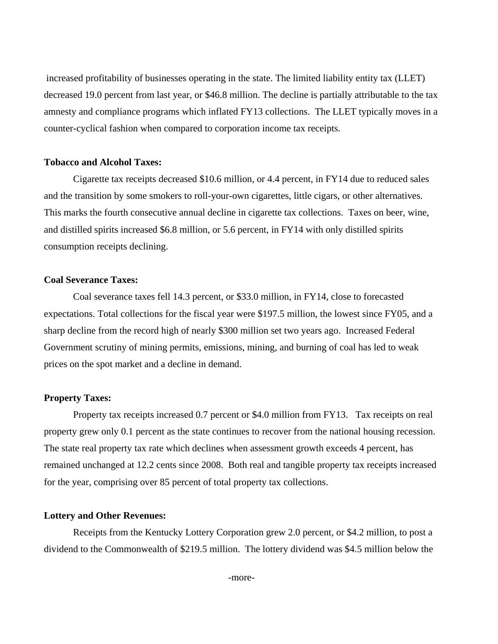increased profitability of businesses operating in the state. The limited liability entity tax (LLET) decreased 19.0 percent from last year, or \$46.8 million. The decline is partially attributable to the tax amnesty and compliance programs which inflated FY13 collections. The LLET typically moves in a counter-cyclical fashion when compared to corporation income tax receipts.

### **Tobacco and Alcohol Taxes:**

Cigarette tax receipts decreased \$10.6 million, or 4.4 percent, in FY14 due to reduced sales and the transition by some smokers to roll-your-own cigarettes, little cigars, or other alternatives. This marks the fourth consecutive annual decline in cigarette tax collections. Taxes on beer, wine, and distilled spirits increased \$6.8 million, or 5.6 percent, in FY14 with only distilled spirits consumption receipts declining.

#### **Coal Severance Taxes:**

Coal severance taxes fell 14.3 percent, or \$33.0 million, in FY14, close to forecasted expectations. Total collections for the fiscal year were \$197.5 million, the lowest since FY05, and a sharp decline from the record high of nearly \$300 million set two years ago. Increased Federal Government scrutiny of mining permits, emissions, mining, and burning of coal has led to weak prices on the spot market and a decline in demand.

### **Property Taxes:**

Property tax receipts increased 0.7 percent or \$4.0 million from FY13. Tax receipts on real property grew only 0.1 percent as the state continues to recover from the national housing recession. The state real property tax rate which declines when assessment growth exceeds 4 percent, has remained unchanged at 12.2 cents since 2008. Both real and tangible property tax receipts increased for the year, comprising over 85 percent of total property tax collections.

#### **Lottery and Other Revenues:**

Receipts from the Kentucky Lottery Corporation grew 2.0 percent, or \$4.2 million, to post a dividend to the Commonwealth of \$219.5 million. The lottery dividend was \$4.5 million below the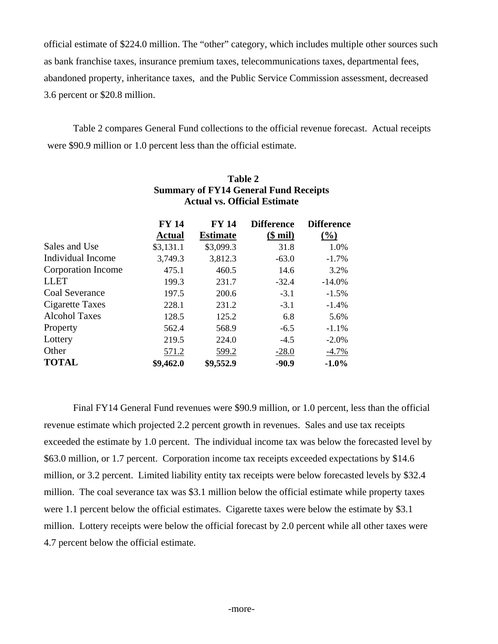official estimate of \$224.0 million. The "other" category, which includes multiple other sources such as bank franchise taxes, insurance premium taxes, telecommunications taxes, departmental fees, abandoned property, inheritance taxes, and the Public Service Commission assessment, decreased 3.6 percent or \$20.8 million.

Table 2 compares General Fund collections to the official revenue forecast. Actual receipts were \$90.9 million or 1.0 percent less than the official estimate.

|                       | <b>FY 14</b> | <b>FY 14</b>    | <b>Difference</b> | <b>Difference</b> |
|-----------------------|--------------|-----------------|-------------------|-------------------|
|                       | Actual       | <b>Estimate</b> | ( <b>§</b> mil)   | $\frac{0}{0}$     |
| Sales and Use         | \$3,131.1    | \$3,099.3       | 31.8              | 1.0%              |
| Individual Income     | 3,749.3      | 3,812.3         | $-63.0$           | $-1.7\%$          |
| Corporation Income    | 475.1        | 460.5           | 14.6              | 3.2%              |
| <b>LLET</b>           | 199.3        | 231.7           | $-32.4$           | $-14.0%$          |
| <b>Coal Severance</b> | 197.5        | 200.6           | $-3.1$            | $-1.5%$           |
| Cigarette Taxes       | 228.1        | 231.2           | $-3.1$            | $-1.4%$           |
| <b>Alcohol Taxes</b>  | 128.5        | 125.2           | 6.8               | 5.6%              |
| Property              | 562.4        | 568.9           | $-6.5$            | $-1.1%$           |
| Lottery               | 219.5        | 224.0           | $-4.5$            | $-2.0%$           |
| Other                 | 571.2        | 599.2           | $-28.0$           | $-4.7%$           |
| <b>TOTAL</b>          | \$9,462.0    | \$9,552.9       | $-90.9$           | $-1.0%$           |

### **Table 2 Summary of FY14 General Fund Receipts Actual vs. Official Estimate**

Final FY14 General Fund revenues were \$90.9 million, or 1.0 percent, less than the official revenue estimate which projected 2.2 percent growth in revenues. Sales and use tax receipts exceeded the estimate by 1.0 percent. The individual income tax was below the forecasted level by \$63.0 million, or 1.7 percent. Corporation income tax receipts exceeded expectations by \$14.6 million, or 3.2 percent. Limited liability entity tax receipts were below forecasted levels by \$32.4 million. The coal severance tax was \$3.1 million below the official estimate while property taxes were 1.1 percent below the official estimates. Cigarette taxes were below the estimate by \$3.1 million. Lottery receipts were below the official forecast by 2.0 percent while all other taxes were 4.7 percent below the official estimate.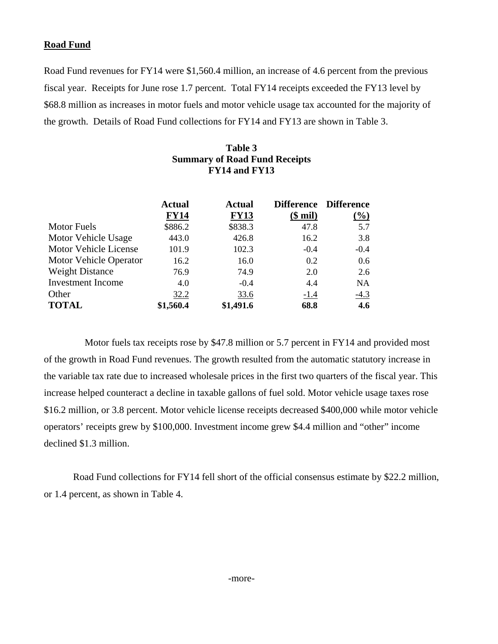### **Road Fund**

Road Fund revenues for FY14 were \$1,560.4 million, an increase of 4.6 percent from the previous fiscal year. Receipts for June rose 1.7 percent. Total FY14 receipts exceeded the FY13 level by \$68.8 million as increases in motor fuels and motor vehicle usage tax accounted for the majority of the growth. Details of Road Fund collections for FY14 and FY13 are shown in Table 3.

| Table 3                              |
|--------------------------------------|
| <b>Summary of Road Fund Receipts</b> |
| FY14 and FY13                        |

|                          | <b>Actual</b> | <b>Actual</b> |             | Difference Difference |
|--------------------------|---------------|---------------|-------------|-----------------------|
|                          | <b>FY14</b>   | <b>FY13</b>   | $$$ mil)    | $(\%)$                |
| <b>Motor Fuels</b>       | \$886.2       | \$838.3       | 47.8        | 5.7                   |
| Motor Vehicle Usage      | 443.0         | 426.8         | 16.2        | 3.8                   |
| Motor Vehicle License    | 101.9         | 102.3         | $-0.4$      | $-0.4$                |
| Motor Vehicle Operator   | 16.2          | 16.0          | 0.2         | 0.6                   |
| <b>Weight Distance</b>   | 76.9          | 74.9          | 2.0         | 2.6                   |
| <b>Investment Income</b> | 4.0           | $-0.4$        | 4.4         | <b>NA</b>             |
| Other                    | 32.2          | 33.6          | <u>-1.4</u> | $-4.3$                |
| <b>TOTAL</b>             | \$1,560.4     | \$1,491.6     | 68.8        | 4.6                   |

 Motor fuels tax receipts rose by \$47.8 million or 5.7 percent in FY14 and provided most of the growth in Road Fund revenues. The growth resulted from the automatic statutory increase in the variable tax rate due to increased wholesale prices in the first two quarters of the fiscal year. This increase helped counteract a decline in taxable gallons of fuel sold. Motor vehicle usage taxes rose \$16.2 million, or 3.8 percent. Motor vehicle license receipts decreased \$400,000 while motor vehicle operators' receipts grew by \$100,000. Investment income grew \$4.4 million and "other" income declined \$1.3 million.

Road Fund collections for FY14 fell short of the official consensus estimate by \$22.2 million, or 1.4 percent, as shown in Table 4.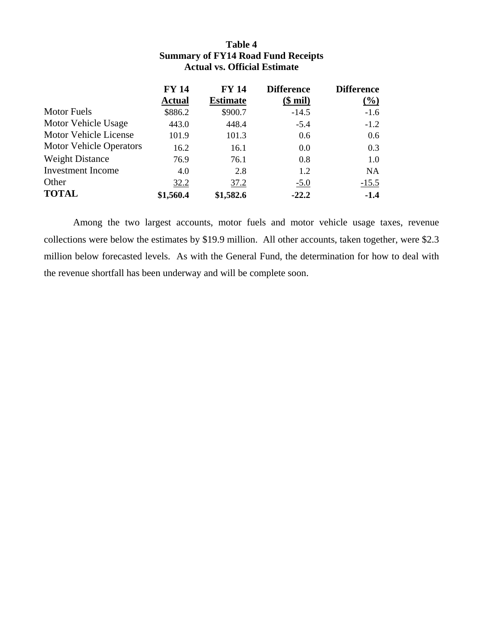## **Table 4 Summary of FY14 Road Fund Receipts Actual vs. Official Estimate**

|                                | <b>FY 14</b>  | <b>FY 14</b>    | <b>Difference</b> | <b>Difference</b> |
|--------------------------------|---------------|-----------------|-------------------|-------------------|
|                                | <b>Actual</b> | <b>Estimate</b> | $$$ mil)          | $\frac{6}{2}$     |
| <b>Motor Fuels</b>             | \$886.2       | \$900.7         | $-14.5$           | $-1.6$            |
| Motor Vehicle Usage            | 443.0         | 448.4           | $-5.4$            | $-1.2$            |
| Motor Vehicle License          | 101.9         | 101.3           | 0.6               | 0.6               |
| <b>Motor Vehicle Operators</b> | 16.2          | 16.1            | 0.0               | 0.3               |
| <b>Weight Distance</b>         | 76.9          | 76.1            | 0.8               | 1.0               |
| <b>Investment</b> Income       | 4.0           | 2.8             | 1.2               | <b>NA</b>         |
| Other                          | 32.2          | 37.2            | $-5.0$            | $-15.5$           |
| <b>TOTAL</b>                   | \$1,560.4     | \$1,582.6       | $-22.2$           | $-1.4$            |

Among the two largest accounts, motor fuels and motor vehicle usage taxes, revenue collections were below the estimates by \$19.9 million. All other accounts, taken together, were \$2.3 million below forecasted levels. As with the General Fund, the determination for how to deal with the revenue shortfall has been underway and will be complete soon.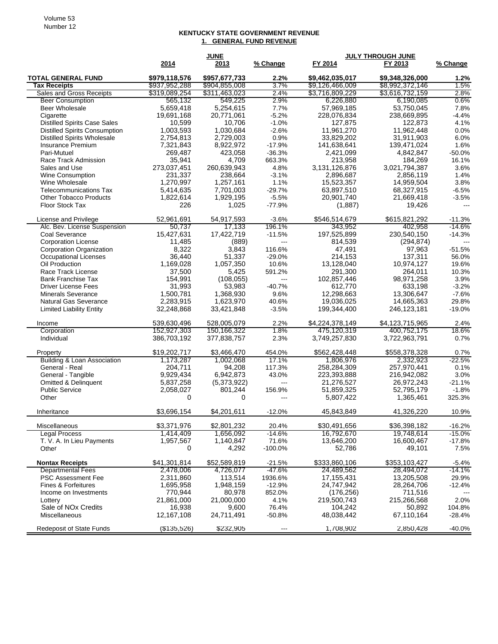#### **KENTUCKY STATE GOVERNMENT REVENUE 1. GENERAL FUND REVENUE**

|                                                                             |                            | <b>JUNE</b>                |                     |                              | <b>JULY THROUGH JUNE</b>     |                   |
|-----------------------------------------------------------------------------|----------------------------|----------------------------|---------------------|------------------------------|------------------------------|-------------------|
|                                                                             | 2014                       | 2013                       | % Change            | FY 2014                      | FY 2013                      | % Change          |
| <b>TOTAL GENERAL FUND</b>                                                   | \$979,118,576              | \$957,677,733              | $2.2\%$             | \$9,462,035,017              | \$9,348,326,000              | 1.2%              |
| <b>Tax Receipts</b>                                                         | \$937,952,288              | \$904,855,008              | 3.7%                | \$9,126,466,009              | \$8,992,372,146              | 1.5%              |
| <b>Sales and Gross Receipts</b>                                             | \$319,089,254              | \$311,463,023              | 2.4%                | \$3,716,809,229              | \$3,616,732,159              | 2.8%              |
| <b>Beer Consumption</b>                                                     | 565,132                    | 549,225                    | 2.9%                | 6,226,880                    | 6,190,085                    | 0.6%              |
| Beer Wholesale                                                              | 5.659.418                  | 5,254,615                  | 7.7%                | 57,969,185                   | 53,750,045                   | 7.8%              |
| Cigarette                                                                   | 19,691,168<br>10,599       | 20,771,061<br>10,706       | $-5.2%$<br>$-1.0%$  | 228,076,834                  | 238,669,895                  | $-4.4%$<br>4.1%   |
| <b>Distilled Spirits Case Sales</b><br><b>Distilled Spirits Consumption</b> | 1,003,593                  | 1,030,684                  | $-2.6%$             | 127,875<br>11,961,270        | 122,873<br>11,962,448        | 0.0%              |
| <b>Distilled Spirits Wholesale</b>                                          | 2,754,813                  | 2,729,003                  | 0.9%                | 33,829,202                   | 31,911,903                   | 6.0%              |
| Insurance Premium                                                           | 7,321,843                  | 8,922,972                  | $-17.9%$            | 141,638,641                  | 139,471,024                  | 1.6%              |
| Pari-Mutuel                                                                 | 269,487                    | 423,058                    | $-36.3%$            | 2,421,099                    | 4,842,847                    | $-50.0%$          |
| Race Track Admission                                                        | 35,941                     | 4,709                      | 663.3%              | 213,958                      | 184,269                      | 16.1%             |
| Sales and Use                                                               | 273,037,451                | 260,639,943                | 4.8%                | 3,131,126,876                | 3,021,794,387                | 3.6%              |
| <b>Wine Consumption</b>                                                     | 231,337                    | 238,664                    | $-3.1%$             | 2,896,687                    | 2,856,119                    | 1.4%              |
| Wine Wholesale                                                              | 1,270,997                  | 1,257,161                  | 1.1%                | 15,523,357                   | 14,959,504                   | 3.8%              |
| <b>Telecommunications Tax</b>                                               | 5,414,635                  | 7,701,003                  | $-29.7%$            | 63,897,510                   | 68,327,915                   | $-6.5%$           |
| <b>Other Tobacco Products</b>                                               | 1,822,614                  | 1,929,195                  | $-5.5%$             | 20,901,740                   | 21,669,418                   | $-3.5%$           |
| <b>Floor Stock Tax</b>                                                      | 226                        | 1,025                      | $-77.9%$            | (1,887)                      | 19,426                       |                   |
| License and Privilege                                                       | 52,961,691                 | 54,917,593                 | $-3.6%$             | \$546,514,679                | \$615,821,292                | $-11.3%$          |
| Alc. Bev. License Suspension                                                | 50.737                     | 17,133                     | 196.1%              | 343,952                      | 402,958                      | $-14.6%$          |
| Coal Severance                                                              | 15,427,631                 | 17,422,719                 | $-11.5%$            | 197,525,899                  | 230,540,150                  | $-14.3%$          |
| <b>Corporation License</b>                                                  | 11,485                     | (889)                      | $---$               | 814,539                      | (294, 874)                   |                   |
| <b>Corporation Organization</b>                                             | 8,322                      | 3,843                      | 116.6%              | 47,491                       | 97,963                       | $-51.5%$          |
| <b>Occupational Licenses</b>                                                | 36,440                     | 51,337                     | $-29.0%$            | 214,153                      | 137,311                      | 56.0%             |
| Oil Production                                                              | 1,169,028                  | 1,057,350                  | 10.6%               | 13,128,040                   | 10,974,127                   | 19.6%             |
| Race Track License<br><b>Bank Franchise Tax</b>                             | 37,500<br>154,991          | 5,425<br>(108, 055)        | 591.2%<br>---       | 291,300<br>102,857,446       | 264.011<br>98,971,258        | 10.3%<br>3.9%     |
| <b>Driver License Fees</b>                                                  | 31,993                     | 53,983                     | $-40.7%$            | 612,770                      | 633,198                      | $-3.2%$           |
| <b>Minerals Severance</b>                                                   | 1,500,781                  | 1,368,930                  | 9.6%                | 12,298,663                   | 13,306,647                   | $-7.6%$           |
| Natural Gas Severance                                                       | 2,283,915                  | 1,623,970                  | 40.6%               | 19,036,025                   | 14,665,363                   | 29.8%             |
| <b>Limited Liability Entity</b>                                             | 32,248,868                 | 33,421,848                 | $-3.5%$             | 199,344,400                  | 246,123,181                  | $-19.0%$          |
|                                                                             |                            |                            |                     |                              |                              |                   |
| Income                                                                      | 539,630,496                | 528,005,079                | 2.2%                | \$4,224,378,149              | \$4,123,715,965              | 2.4%              |
| Corporation<br>Individual                                                   | 152,927,303<br>386,703,192 | 150,166,322<br>377,838,757 | 1.8%<br>2.3%        | 475,120,319<br>3,749,257,830 | 400,752,175<br>3,722,963,791 | 18.6%<br>0.7%     |
|                                                                             |                            |                            |                     |                              |                              |                   |
| Property                                                                    | \$19,202,717               | \$3,466,470                | 454.0%              | \$562,428,448                | \$558,378,328                | 0.7%              |
| <b>Building &amp; Loan Association</b>                                      | 1,173,287                  | 1,002,068                  | 17.1%               | 1,806,976                    | 2,332,923                    | $-22.5%$          |
| General - Real                                                              | 204,711                    | 94,208                     | 117.3%              | 258,284,309                  | 257,970,441                  | 0.1%              |
| General - Tangible<br><b>Omitted &amp; Delinquent</b>                       | 9,929,434<br>5,837,258     | 6,942,873<br>(5,373,922)   | 43.0%<br>---        | 223,393,888<br>21,276,527    | 216,942,082<br>26,972,243    | 3.0%<br>$-21.1%$  |
| <b>Public Service</b>                                                       | 2,058,027                  | 801,244                    | 156.9%              | 51,859,325                   | 52,795,179                   | $-1.8%$           |
| Other                                                                       | 0                          | $\Omega$                   | ---                 | 5,807,422                    | 1,365,461                    | 325.3%            |
|                                                                             |                            |                            |                     |                              |                              |                   |
| Inheritance                                                                 | \$3,696,154                | \$4,201,611                | $-12.0%$            | 45,843,849                   | 41,326,220                   | 10.9%             |
| Miscellaneous                                                               | \$3,371,976                | \$2,801,232                | 20.4%               | \$30,491,656                 | \$36,398,182                 | $-16.2%$          |
| Legal Process                                                               | 1,414,409                  | 1,656,092                  | $-14.6%$            | 16,792,670                   | 19,748,614                   | $-15.0%$          |
| T. V. A. In Lieu Payments<br>Other                                          | 1,957,567<br>0             | 1,140,847<br>4,292         | 71.6%<br>$-100.0%$  | 13,646,200<br>52,786         | 16,600,467<br>49,101         | $-17.8%$<br>7.5%  |
|                                                                             |                            |                            |                     |                              |                              |                   |
| <b>Nontax Receipts</b>                                                      | \$41,301,814               | \$52,589,819               | $-21.5%$            | \$333,860,106                | \$353,103,427                | $-5.4%$           |
| <b>Departmental Fees</b>                                                    | 2,478,006                  | 4,726,077                  | $-47.6%$            | 24,489,562<br>17,155,431     | 28,494,072                   | $-14.1%$          |
| PSC Assessment Fee<br>Fines & Forfeitures                                   | 2,311,860<br>1,695,958     | 113,514<br>1,948,159       | 1936.6%<br>$-12.9%$ | 24,747,942                   | 13,205,508<br>28,264,706     | 29.9%<br>$-12.4%$ |
| Income on Investments                                                       | 770,944                    | 80,978                     | 852.0%              | (176, 256)                   | 711,516                      |                   |
| Lottery                                                                     | 21,861,000                 | 21,000,000                 | 4.1%                | 219,500,743                  | 215,266,568                  | 2.0%              |
| Sale of NO <sub>x</sub> Credits                                             | 16,938                     | 9,600                      | 76.4%               | 104,242                      | 50,892                       | 104.8%            |
| Miscellaneous                                                               | 12,167,108                 | 24,711,491                 | $-50.8%$            | 48,038,442                   | 67,110,164                   | -28.4%            |
|                                                                             |                            |                            |                     |                              |                              |                   |
| <b>Redeposit of State Funds</b>                                             | (135, 526)                 | \$232,905                  | ---                 | 1,708,902                    | 2,850,428                    | -40.0%            |